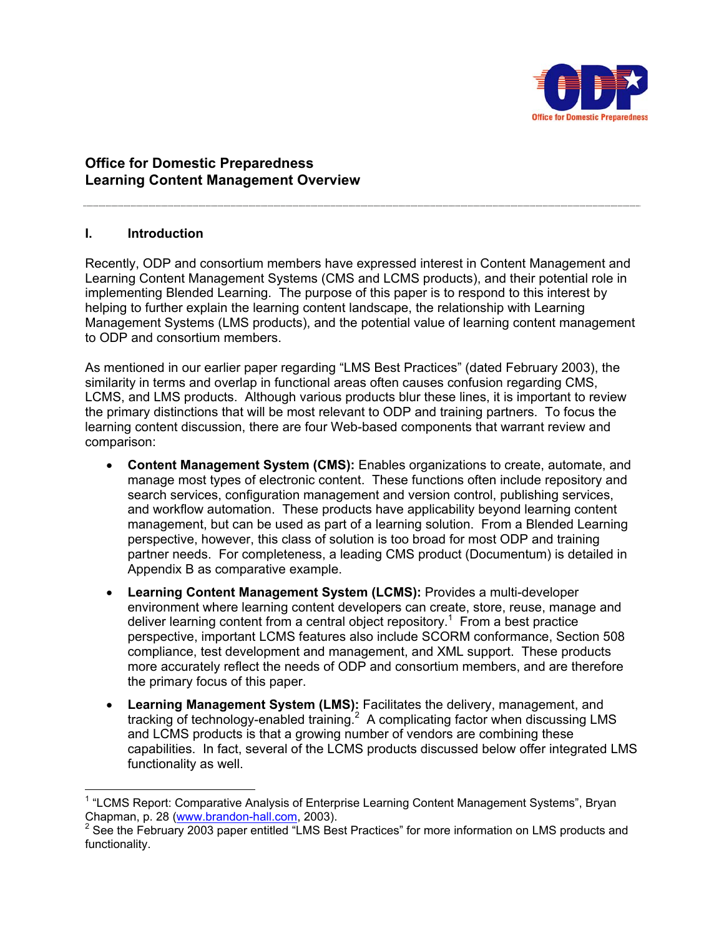

# **Office for Domestic Preparedness Learning Content Management Overview**

# **I. Introduction**

 $\overline{a}$ 

Recently, ODP and consortium members have expressed interest in Content Management and Learning Content Management Systems (CMS and LCMS products), and their potential role in implementing Blended Learning. The purpose of this paper is to respond to this interest by helping to further explain the learning content landscape, the relationship with Learning Management Systems (LMS products), and the potential value of learning content management to ODP and consortium members.

As mentioned in our earlier paper regarding "LMS Best Practices" (dated February 2003), the similarity in terms and overlap in functional areas often causes confusion regarding CMS, LCMS, and LMS products. Although various products blur these lines, it is important to review the primary distinctions that will be most relevant to ODP and training partners. To focus the learning content discussion, there are four Web-based components that warrant review and comparison:

- **Content Management System (CMS):** Enables organizations to create, automate, and manage most types of electronic content. These functions often include repository and search services, configuration management and version control, publishing services, and workflow automation. These products have applicability beyond learning content management, but can be used as part of a learning solution. From a Blended Learning perspective, however, this class of solution is too broad for most ODP and training partner needs. For completeness, a leading CMS product (Documentum) is detailed in Appendix B as comparative example.
- **Learning Content Management System (LCMS):** Provides a multi-developer environment where learning content developers can create, store, reuse, manage and deliver learning content from a central object repository.<sup>1</sup> From a best practice perspective, important LCMS features also include SCORM conformance, Section 508 compliance, test development and management, and XML support. These products more accurately reflect the needs of ODP and consortium members, and are therefore the primary focus of this paper.
- **Learning Management System (LMS):** Facilitates the delivery, management, and tracking of technology-enabled training. $^2$  A complicating factor when discussing LMS and LCMS products is that a growing number of vendors are combining these capabilities. In fact, several of the LCMS products discussed below offer integrated LMS functionality as well.

<sup>&</sup>lt;sup>1</sup> "LCMS Report: Comparative Analysis of Enterprise Learning Content Management Systems", Bryan Chapman, p. 28 (<u>www.brandon-hall.com,</u> 2003).<br><sup>2</sup> See the February 2003 paper entitled "LMS Best Practices" for more information on LMS products and

functionality.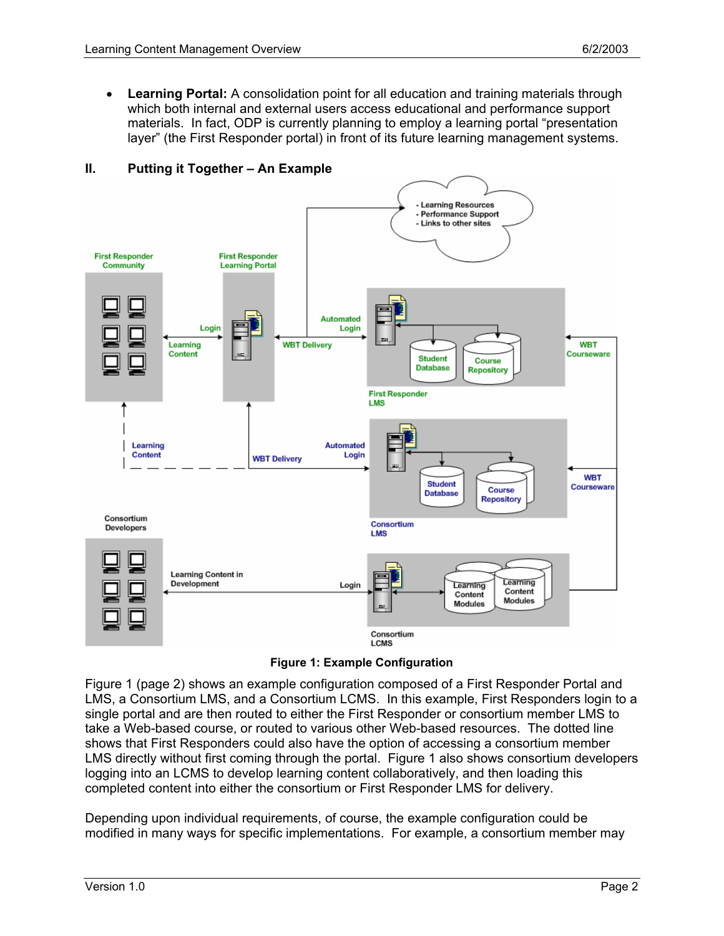• **Learning Portal:** A consolidation point for all education and training materials through which both internal and external users access educational and performance support materials. In fact, ODP is currently planning to employ a learning portal "presentation layer" (the First Responder portal) in front of its future learning management systems.



# **II. Putting it Together – An Example**

**Figure 1: Example Configuration**

Figure 1 (page 2) shows an example configuration composed of a First Responder Portal and LMS, a Consortium LMS, and a Consortium LCMS. In this example, First Responders login to a single portal and are then routed to either the First Responder or consortium member LMS to take a Web-based course, or routed to various other Web-based resources. The dotted line shows that First Responders could also have the option of accessing a consortium member LMS directly without first coming through the portal. Figure 1 also shows consortium developers logging into an LCMS to develop learning content collaboratively, and then loading this completed content into either the consortium or First Responder LMS for delivery.

Depending upon individual requirements, of course, the example configuration could be modified in many ways for specific implementations. For example, a consortium member may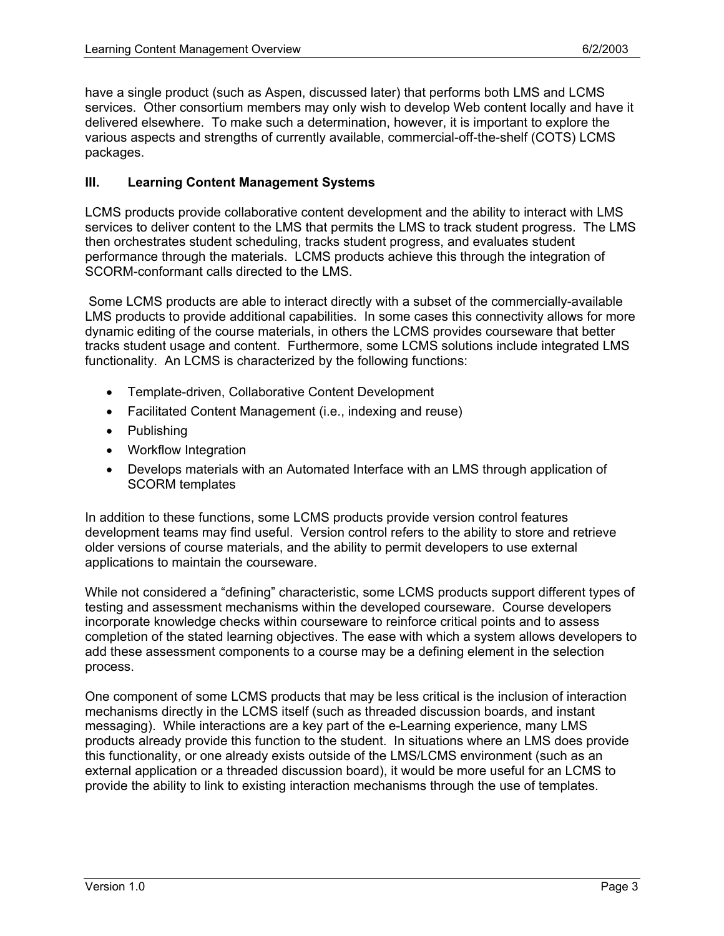have a single product (such as Aspen, discussed later) that performs both LMS and LCMS services. Other consortium members may only wish to develop Web content locally and have it delivered elsewhere. To make such a determination, however, it is important to explore the various aspects and strengths of currently available, commercial-off-the-shelf (COTS) LCMS packages.

# **III. Learning Content Management Systems**

LCMS products provide collaborative content development and the ability to interact with LMS services to deliver content to the LMS that permits the LMS to track student progress. The LMS then orchestrates student scheduling, tracks student progress, and evaluates student performance through the materials. LCMS products achieve this through the integration of SCORM-conformant calls directed to the LMS.

 Some LCMS products are able to interact directly with a subset of the commercially-available LMS products to provide additional capabilities. In some cases this connectivity allows for more dynamic editing of the course materials, in others the LCMS provides courseware that better tracks student usage and content. Furthermore, some LCMS solutions include integrated LMS functionality. An LCMS is characterized by the following functions:

- Template-driven, Collaborative Content Development
- Facilitated Content Management (i.e., indexing and reuse)
- Publishing
- Workflow Integration
- Develops materials with an Automated Interface with an LMS through application of SCORM templates

In addition to these functions, some LCMS products provide version control features development teams may find useful. Version control refers to the ability to store and retrieve older versions of course materials, and the ability to permit developers to use external applications to maintain the courseware.

While not considered a "defining" characteristic, some LCMS products support different types of testing and assessment mechanisms within the developed courseware. Course developers incorporate knowledge checks within courseware to reinforce critical points and to assess completion of the stated learning objectives. The ease with which a system allows developers to add these assessment components to a course may be a defining element in the selection process.

One component of some LCMS products that may be less critical is the inclusion of interaction mechanisms directly in the LCMS itself (such as threaded discussion boards, and instant messaging). While interactions are a key part of the e-Learning experience, many LMS products already provide this function to the student. In situations where an LMS does provide this functionality, or one already exists outside of the LMS/LCMS environment (such as an external application or a threaded discussion board), it would be more useful for an LCMS to provide the ability to link to existing interaction mechanisms through the use of templates.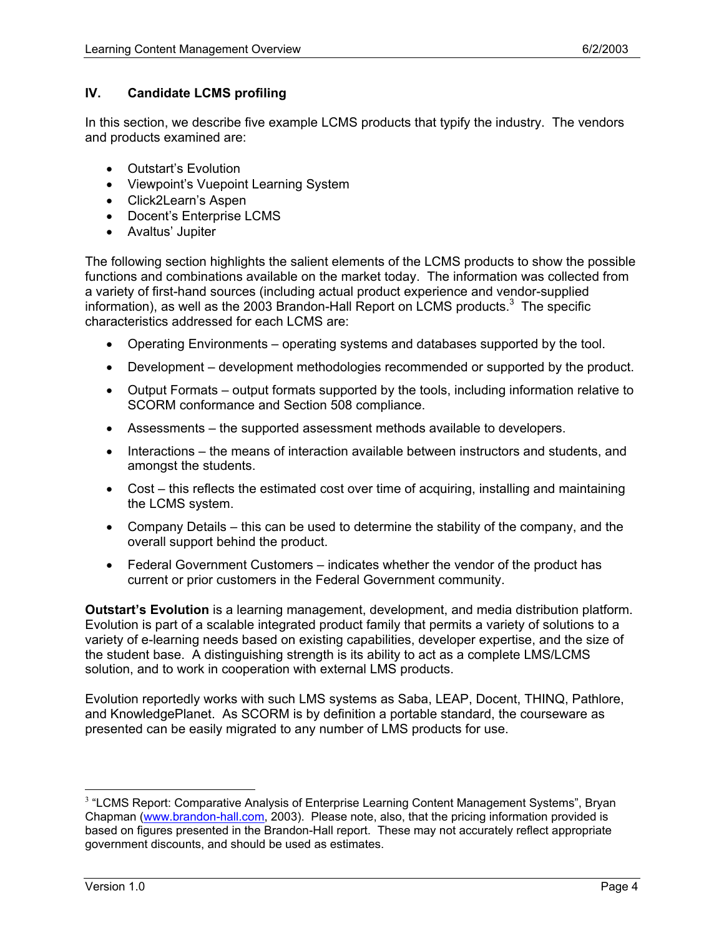# **IV. Candidate LCMS profiling**

In this section, we describe five example LCMS products that typify the industry. The vendors and products examined are:

- Outstart's Evolution
- Viewpoint's Vuepoint Learning System
- Click2Learn's Aspen
- Docent's Enterprise LCMS
- Avaltus' Jupiter

The following section highlights the salient elements of the LCMS products to show the possible functions and combinations available on the market today. The information was collected from a variety of first-hand sources (including actual product experience and vendor-supplied information), as well as the 2003 Brandon-Hall Report on LCMS products.<sup>3</sup> The specific characteristics addressed for each LCMS are:

- Operating Environments operating systems and databases supported by the tool.
- Development development methodologies recommended or supported by the product.
- Output Formats output formats supported by the tools, including information relative to SCORM conformance and Section 508 compliance.
- Assessments the supported assessment methods available to developers.
- Interactions the means of interaction available between instructors and students, and amongst the students.
- Cost this reflects the estimated cost over time of acquiring, installing and maintaining the LCMS system.
- Company Details this can be used to determine the stability of the company, and the overall support behind the product.
- Federal Government Customers indicates whether the vendor of the product has current or prior customers in the Federal Government community.

**Outstart's Evolution** is a learning management, development, and media distribution platform. Evolution is part of a scalable integrated product family that permits a variety of solutions to a variety of e-learning needs based on existing capabilities, developer expertise, and the size of the student base. A distinguishing strength is its ability to act as a complete LMS/LCMS solution, and to work in cooperation with external LMS products.

Evolution reportedly works with such LMS systems as Saba, LEAP, Docent, THINQ, Pathlore, and KnowledgePlanet. As SCORM is by definition a portable standard, the courseware as presented can be easily migrated to any number of LMS products for use.

 $\overline{a}$ 

 $3$  "LCMS Report: Comparative Analysis of Enterprise Learning Content Management Systems", Bryan Chapman (www.brandon-hall.com, 2003). Please note, also, that the pricing information provided is based on figures presented in the Brandon-Hall report. These may not accurately reflect appropriate government discounts, and should be used as estimates.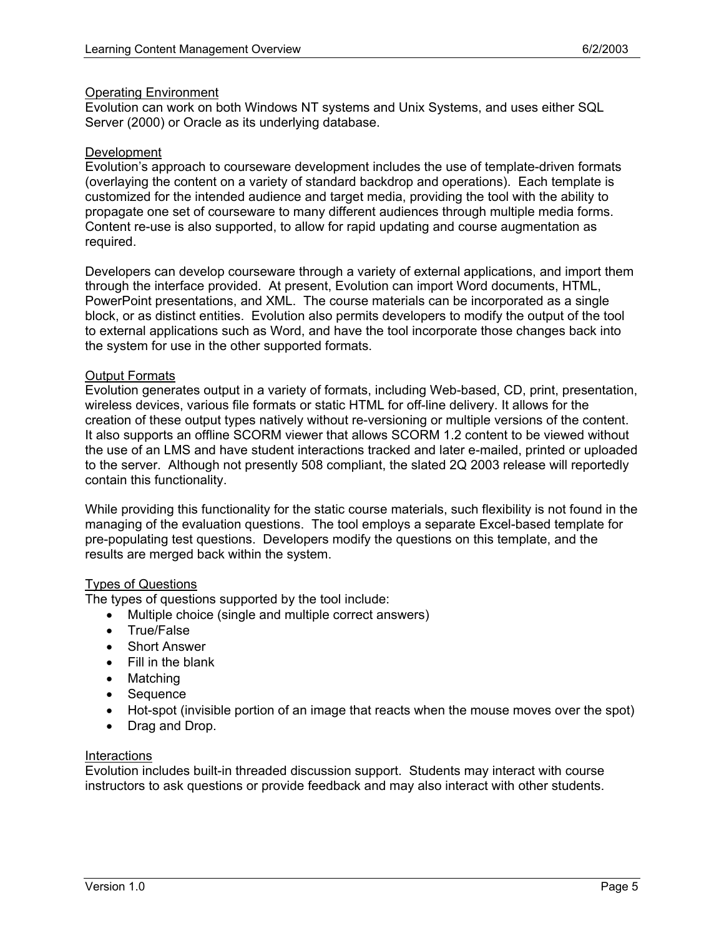### Operating Environment

Evolution can work on both Windows NT systems and Unix Systems, and uses either SQL Server (2000) or Oracle as its underlying database.

#### Development

Evolution's approach to courseware development includes the use of template-driven formats (overlaying the content on a variety of standard backdrop and operations). Each template is customized for the intended audience and target media, providing the tool with the ability to propagate one set of courseware to many different audiences through multiple media forms. Content re-use is also supported, to allow for rapid updating and course augmentation as required.

Developers can develop courseware through a variety of external applications, and import them through the interface provided. At present, Evolution can import Word documents, HTML, PowerPoint presentations, and XML. The course materials can be incorporated as a single block, or as distinct entities. Evolution also permits developers to modify the output of the tool to external applications such as Word, and have the tool incorporate those changes back into the system for use in the other supported formats.

#### Output Formats

Evolution generates output in a variety of formats, including Web-based, CD, print, presentation, wireless devices, various file formats or static HTML for off-line delivery. It allows for the creation of these output types natively without re-versioning or multiple versions of the content. It also supports an offline SCORM viewer that allows SCORM 1.2 content to be viewed without the use of an LMS and have student interactions tracked and later e-mailed, printed or uploaded to the server. Although not presently 508 compliant, the slated 2Q 2003 release will reportedly contain this functionality.

While providing this functionality for the static course materials, such flexibility is not found in the managing of the evaluation questions. The tool employs a separate Excel-based template for pre-populating test questions. Developers modify the questions on this template, and the results are merged back within the system.

## Types of Questions

The types of questions supported by the tool include:

- Multiple choice (single and multiple correct answers)
- True/False
- Short Answer
- Fill in the blank
- Matching
- Sequence
- Hot-spot (invisible portion of an image that reacts when the mouse moves over the spot)
- Drag and Drop.

#### **Interactions**

Evolution includes built-in threaded discussion support. Students may interact with course instructors to ask questions or provide feedback and may also interact with other students.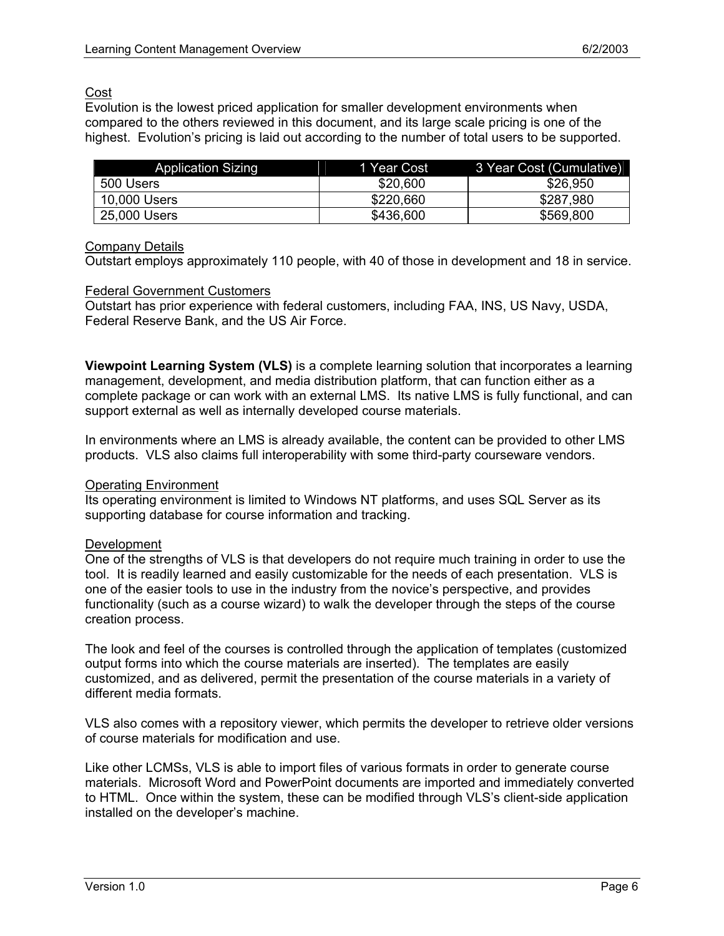# Cost

Evolution is the lowest priced application for smaller development environments when compared to the others reviewed in this document, and its large scale pricing is one of the highest. Evolution's pricing is laid out according to the number of total users to be supported.

| <b>Application Sizing</b> | 1 Year Cost | 3 Year Cost (Cumulative) |
|---------------------------|-------------|--------------------------|
| 500 Users                 | \$20,600    | \$26,950                 |
| 10,000 Users              | \$220,660   | \$287,980                |
| 25,000 Users              | \$436,600   | \$569,800                |

# Company Details

Outstart employs approximately 110 people, with 40 of those in development and 18 in service.

## Federal Government Customers

Outstart has prior experience with federal customers, including FAA, INS, US Navy, USDA, Federal Reserve Bank, and the US Air Force.

**Viewpoint Learning System (VLS)** is a complete learning solution that incorporates a learning management, development, and media distribution platform, that can function either as a complete package or can work with an external LMS. Its native LMS is fully functional, and can support external as well as internally developed course materials.

In environments where an LMS is already available, the content can be provided to other LMS products. VLS also claims full interoperability with some third-party courseware vendors.

# Operating Environment

Its operating environment is limited to Windows NT platforms, and uses SQL Server as its supporting database for course information and tracking.

# Development

One of the strengths of VLS is that developers do not require much training in order to use the tool. It is readily learned and easily customizable for the needs of each presentation. VLS is one of the easier tools to use in the industry from the novice's perspective, and provides functionality (such as a course wizard) to walk the developer through the steps of the course creation process.

The look and feel of the courses is controlled through the application of templates (customized output forms into which the course materials are inserted). The templates are easily customized, and as delivered, permit the presentation of the course materials in a variety of different media formats.

VLS also comes with a repository viewer, which permits the developer to retrieve older versions of course materials for modification and use.

Like other LCMSs, VLS is able to import files of various formats in order to generate course materials. Microsoft Word and PowerPoint documents are imported and immediately converted to HTML. Once within the system, these can be modified through VLS's client-side application installed on the developer's machine.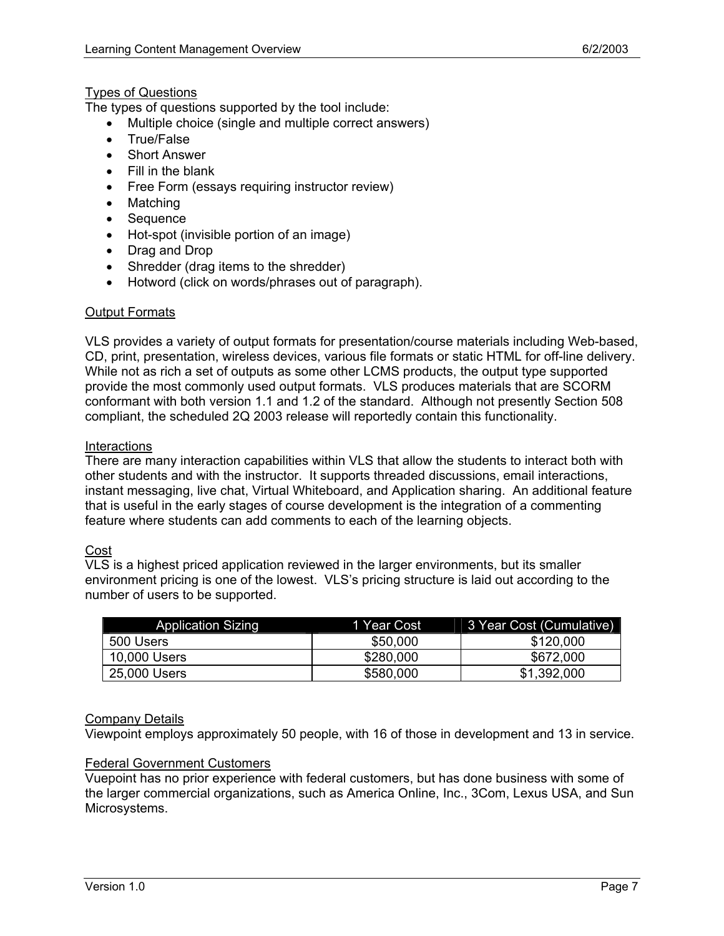# Types of Questions

The types of questions supported by the tool include:

- Multiple choice (single and multiple correct answers)
- True/False
- **Short Answer**
- Fill in the blank
- Free Form (essays requiring instructor review)
- Matching
- Sequence
- Hot-spot (invisible portion of an image)
- Drag and Drop
- Shredder (drag items to the shredder)
- Hotword (click on words/phrases out of paragraph).

## Output Formats

VLS provides a variety of output formats for presentation/course materials including Web-based, CD, print, presentation, wireless devices, various file formats or static HTML for off-line delivery. While not as rich a set of outputs as some other LCMS products, the output type supported provide the most commonly used output formats. VLS produces materials that are SCORM conformant with both version 1.1 and 1.2 of the standard. Although not presently Section 508 compliant, the scheduled 2Q 2003 release will reportedly contain this functionality.

#### **Interactions**

There are many interaction capabilities within VLS that allow the students to interact both with other students and with the instructor. It supports threaded discussions, email interactions, instant messaging, live chat, Virtual Whiteboard, and Application sharing. An additional feature that is useful in the early stages of course development is the integration of a commenting feature where students can add comments to each of the learning objects.

## Cost

VLS is a highest priced application reviewed in the larger environments, but its smaller environment pricing is one of the lowest. VLS's pricing structure is laid out according to the number of users to be supported.

| <b>Application Sizing</b> | 1 Year Cost | 3 Year Cost (Cumulative) |
|---------------------------|-------------|--------------------------|
| 500 Users                 | \$50,000    | \$120,000                |
| 10,000 Users              | \$280,000   | \$672,000                |
| 25,000 Users              | \$580,000   | \$1,392,000              |

## Company Details

Viewpoint employs approximately 50 people, with 16 of those in development and 13 in service.

#### Federal Government Customers

Vuepoint has no prior experience with federal customers, but has done business with some of the larger commercial organizations, such as America Online, Inc., 3Com, Lexus USA, and Sun Microsystems.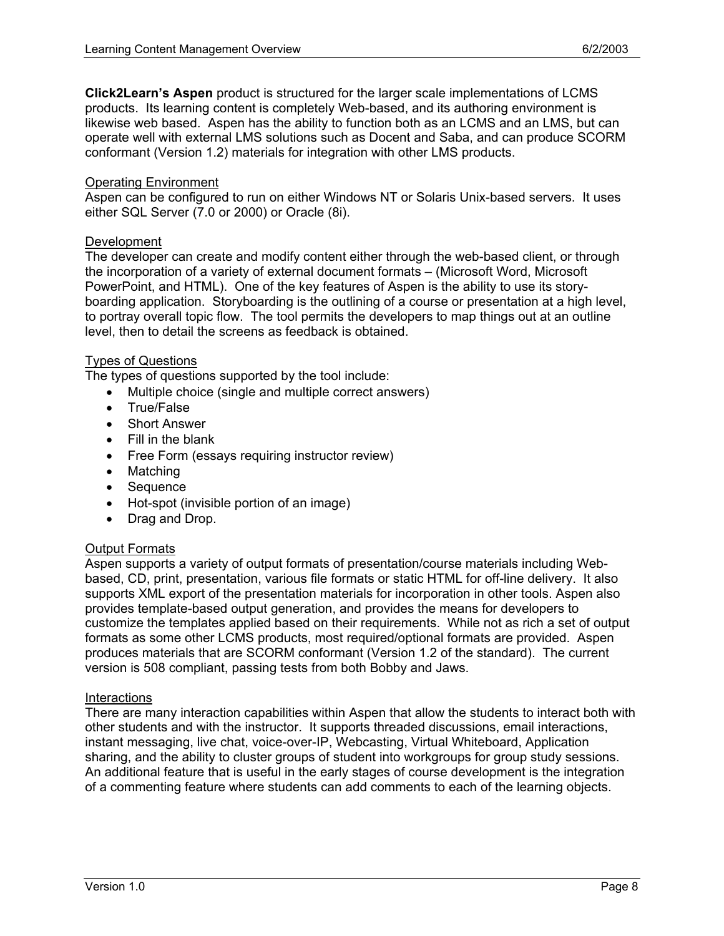**Click2Learn's Aspen** product is structured for the larger scale implementations of LCMS products. Its learning content is completely Web-based, and its authoring environment is likewise web based. Aspen has the ability to function both as an LCMS and an LMS, but can operate well with external LMS solutions such as Docent and Saba, and can produce SCORM conformant (Version 1.2) materials for integration with other LMS products.

#### Operating Environment

Aspen can be configured to run on either Windows NT or Solaris Unix-based servers. It uses either SQL Server (7.0 or 2000) or Oracle (8i).

#### Development

The developer can create and modify content either through the web-based client, or through the incorporation of a variety of external document formats – (Microsoft Word, Microsoft PowerPoint, and HTML). One of the key features of Aspen is the ability to use its storyboarding application. Storyboarding is the outlining of a course or presentation at a high level, to portray overall topic flow. The tool permits the developers to map things out at an outline level, then to detail the screens as feedback is obtained.

## Types of Questions

The types of questions supported by the tool include:

- Multiple choice (single and multiple correct answers)
- True/False
- **Short Answer**
- Fill in the blank
- Free Form (essays requiring instructor review)
- Matching
- Sequence
- Hot-spot (invisible portion of an image)
- Drag and Drop.

## Output Formats

Aspen supports a variety of output formats of presentation/course materials including Webbased, CD, print, presentation, various file formats or static HTML for off-line delivery. It also supports XML export of the presentation materials for incorporation in other tools. Aspen also provides template-based output generation, and provides the means for developers to customize the templates applied based on their requirements. While not as rich a set of output formats as some other LCMS products, most required/optional formats are provided. Aspen produces materials that are SCORM conformant (Version 1.2 of the standard). The current version is 508 compliant, passing tests from both Bobby and Jaws.

#### **Interactions**

There are many interaction capabilities within Aspen that allow the students to interact both with other students and with the instructor. It supports threaded discussions, email interactions, instant messaging, live chat, voice-over-IP, Webcasting, Virtual Whiteboard, Application sharing, and the ability to cluster groups of student into workgroups for group study sessions. An additional feature that is useful in the early stages of course development is the integration of a commenting feature where students can add comments to each of the learning objects.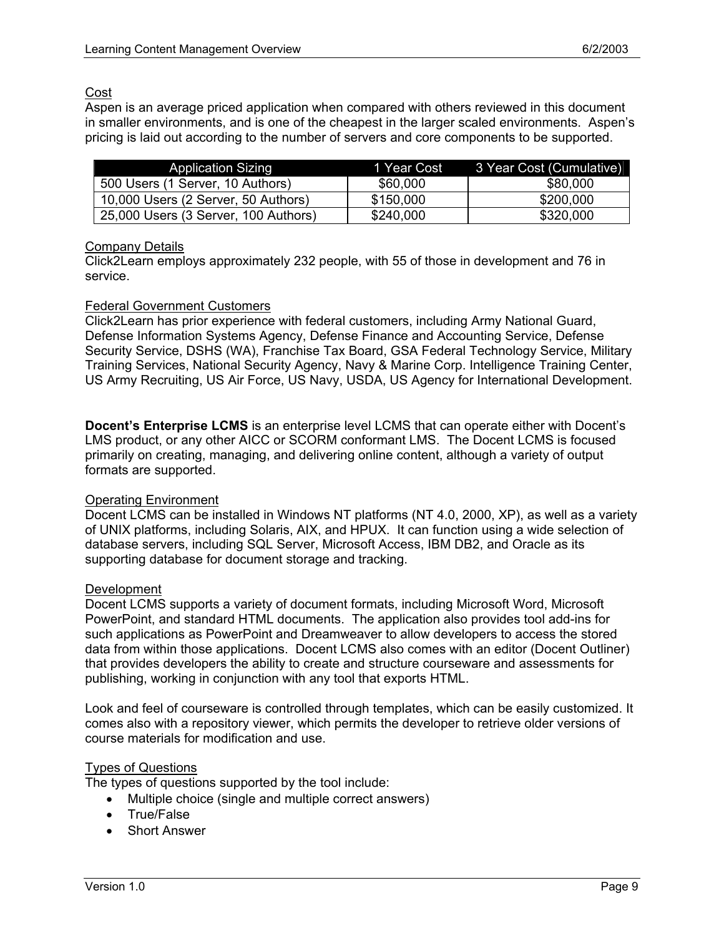# Cost

Aspen is an average priced application when compared with others reviewed in this document in smaller environments, and is one of the cheapest in the larger scaled environments. Aspen's pricing is laid out according to the number of servers and core components to be supported.

| <b>Application Sizing</b>            | 1 Year Cost | 3 Year Cost (Cumulative) |
|--------------------------------------|-------------|--------------------------|
| 500 Users (1 Server, 10 Authors)     | \$60,000    | \$80,000                 |
| 10,000 Users (2 Server, 50 Authors)  | \$150,000   | \$200,000                |
| 25,000 Users (3 Server, 100 Authors) | \$240,000   | \$320,000                |

# Company Details

Click2Learn employs approximately 232 people, with 55 of those in development and 76 in service.

## Federal Government Customers

Click2Learn has prior experience with federal customers, including Army National Guard, Defense Information Systems Agency, Defense Finance and Accounting Service, Defense Security Service, DSHS (WA), Franchise Tax Board, GSA Federal Technology Service, Military Training Services, National Security Agency, Navy & Marine Corp. Intelligence Training Center, US Army Recruiting, US Air Force, US Navy, USDA, US Agency for International Development.

**Docent's Enterprise LCMS** is an enterprise level LCMS that can operate either with Docent's LMS product, or any other AICC or SCORM conformant LMS. The Docent LCMS is focused primarily on creating, managing, and delivering online content, although a variety of output formats are supported.

## Operating Environment

Docent LCMS can be installed in Windows NT platforms (NT 4.0, 2000, XP), as well as a variety of UNIX platforms, including Solaris, AIX, and HPUX. It can function using a wide selection of database servers, including SQL Server, Microsoft Access, IBM DB2, and Oracle as its supporting database for document storage and tracking.

## Development

Docent LCMS supports a variety of document formats, including Microsoft Word, Microsoft PowerPoint, and standard HTML documents. The application also provides tool add-ins for such applications as PowerPoint and Dreamweaver to allow developers to access the stored data from within those applications. Docent LCMS also comes with an editor (Docent Outliner) that provides developers the ability to create and structure courseware and assessments for publishing, working in conjunction with any tool that exports HTML.

Look and feel of courseware is controlled through templates, which can be easily customized. It comes also with a repository viewer, which permits the developer to retrieve older versions of course materials for modification and use.

## Types of Questions

The types of questions supported by the tool include:

- Multiple choice (single and multiple correct answers)
- True/False
- Short Answer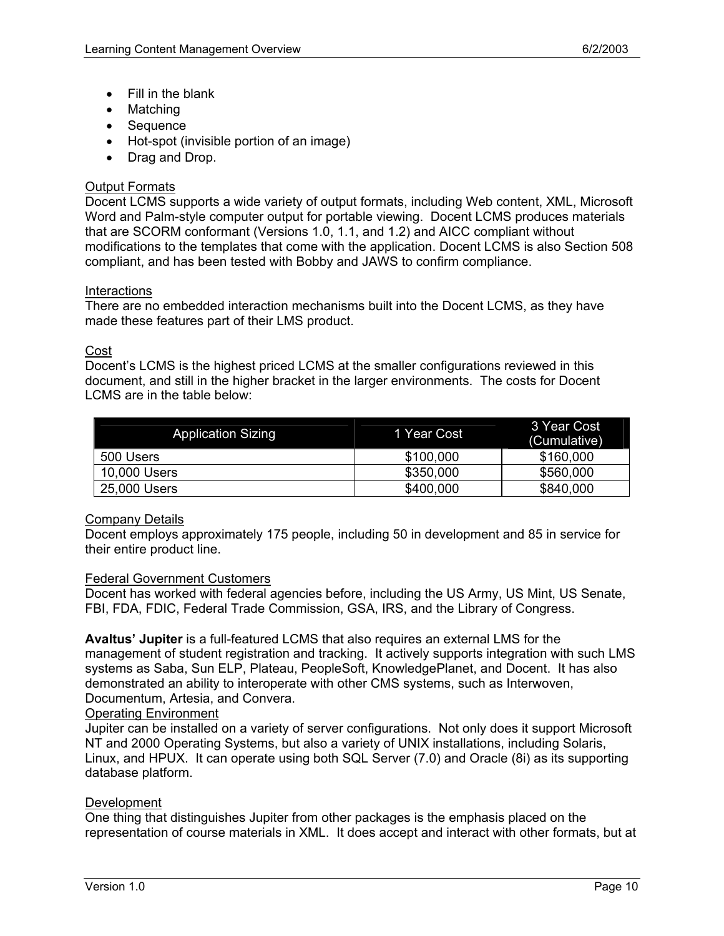- Fill in the blank
- Matching
- Sequence
- Hot-spot (invisible portion of an image)
- Drag and Drop.

## **Output Formats**

Docent LCMS supports a wide variety of output formats, including Web content, XML, Microsoft Word and Palm-style computer output for portable viewing. Docent LCMS produces materials that are SCORM conformant (Versions 1.0, 1.1, and 1.2) and AICC compliant without modifications to the templates that come with the application. Docent LCMS is also Section 508 compliant, and has been tested with Bobby and JAWS to confirm compliance.

## **Interactions**

There are no embedded interaction mechanisms built into the Docent LCMS, as they have made these features part of their LMS product.

## Cost

Docent's LCMS is the highest priced LCMS at the smaller configurations reviewed in this document, and still in the higher bracket in the larger environments. The costs for Docent LCMS are in the table below:

| <b>Application Sizing</b> | 1 Year Cost | 3 Year Cost<br>(Cumulative) |
|---------------------------|-------------|-----------------------------|
| 500 Users                 | \$100,000   | \$160,000                   |
| 10,000 Users              | \$350,000   | \$560,000                   |
| 25,000 Users              | \$400,000   | \$840,000                   |

## Company Details

Docent employs approximately 175 people, including 50 in development and 85 in service for their entire product line.

#### Federal Government Customers

Docent has worked with federal agencies before, including the US Army, US Mint, US Senate, FBI, FDA, FDIC, Federal Trade Commission, GSA, IRS, and the Library of Congress.

**Avaltus' Jupiter** is a full-featured LCMS that also requires an external LMS for the management of student registration and tracking. It actively supports integration with such LMS systems as Saba, Sun ELP, Plateau, PeopleSoft, KnowledgePlanet, and Docent. It has also demonstrated an ability to interoperate with other CMS systems, such as Interwoven, Documentum, Artesia, and Convera.

#### Operating Environment

Jupiter can be installed on a variety of server configurations. Not only does it support Microsoft NT and 2000 Operating Systems, but also a variety of UNIX installations, including Solaris, Linux, and HPUX. It can operate using both SQL Server (7.0) and Oracle (8i) as its supporting database platform.

## Development

One thing that distinguishes Jupiter from other packages is the emphasis placed on the representation of course materials in XML. It does accept and interact with other formats, but at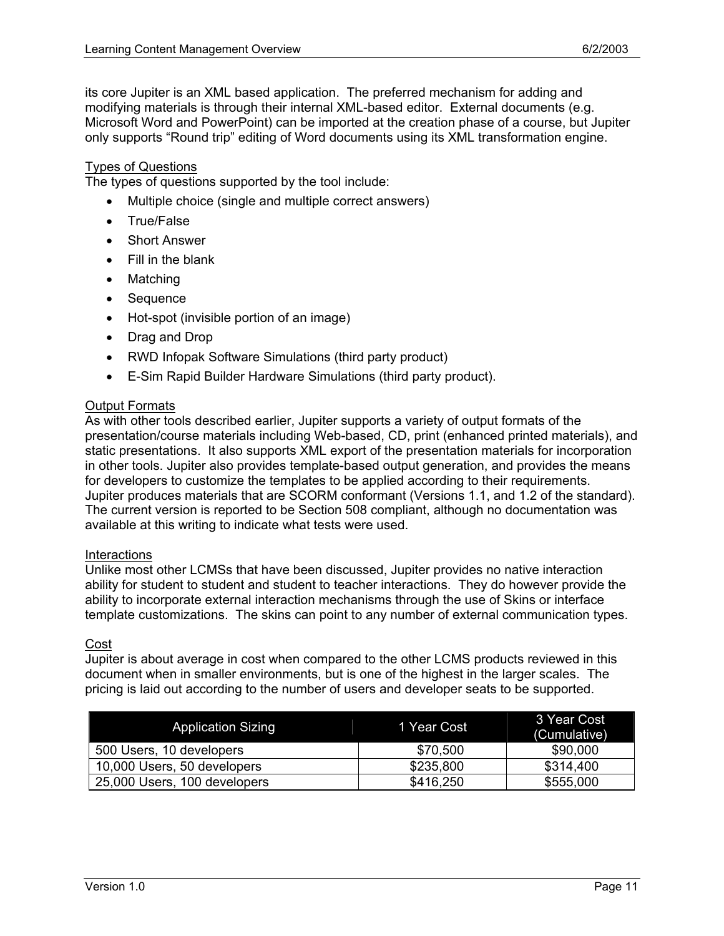its core Jupiter is an XML based application. The preferred mechanism for adding and modifying materials is through their internal XML-based editor. External documents (e.g. Microsoft Word and PowerPoint) can be imported at the creation phase of a course, but Jupiter only supports "Round trip" editing of Word documents using its XML transformation engine.

#### Types of Questions

The types of questions supported by the tool include:

- Multiple choice (single and multiple correct answers)
- True/False
- **Short Answer**
- Fill in the blank
- Matching
- Sequence
- Hot-spot (invisible portion of an image)
- Drag and Drop
- RWD Infopak Software Simulations (third party product)
- E-Sim Rapid Builder Hardware Simulations (third party product).

# **Output Formats**

As with other tools described earlier, Jupiter supports a variety of output formats of the presentation/course materials including Web-based, CD, print (enhanced printed materials), and static presentations. It also supports XML export of the presentation materials for incorporation in other tools. Jupiter also provides template-based output generation, and provides the means for developers to customize the templates to be applied according to their requirements. Jupiter produces materials that are SCORM conformant (Versions 1.1, and 1.2 of the standard). The current version is reported to be Section 508 compliant, although no documentation was available at this writing to indicate what tests were used.

#### **Interactions**

Unlike most other LCMSs that have been discussed, Jupiter provides no native interaction ability for student to student and student to teacher interactions. They do however provide the ability to incorporate external interaction mechanisms through the use of Skins or interface template customizations. The skins can point to any number of external communication types.

#### Cost

Jupiter is about average in cost when compared to the other LCMS products reviewed in this document when in smaller environments, but is one of the highest in the larger scales. The pricing is laid out according to the number of users and developer seats to be supported.

| <b>Application Sizing</b>    | 1 Year Cost | 3 Year Cost<br>(Cumulative) |
|------------------------------|-------------|-----------------------------|
| 500 Users, 10 developers     | \$70,500    | \$90,000                    |
| 10,000 Users, 50 developers  | \$235,800   | \$314,400                   |
| 25,000 Users, 100 developers | \$416,250   | \$555,000                   |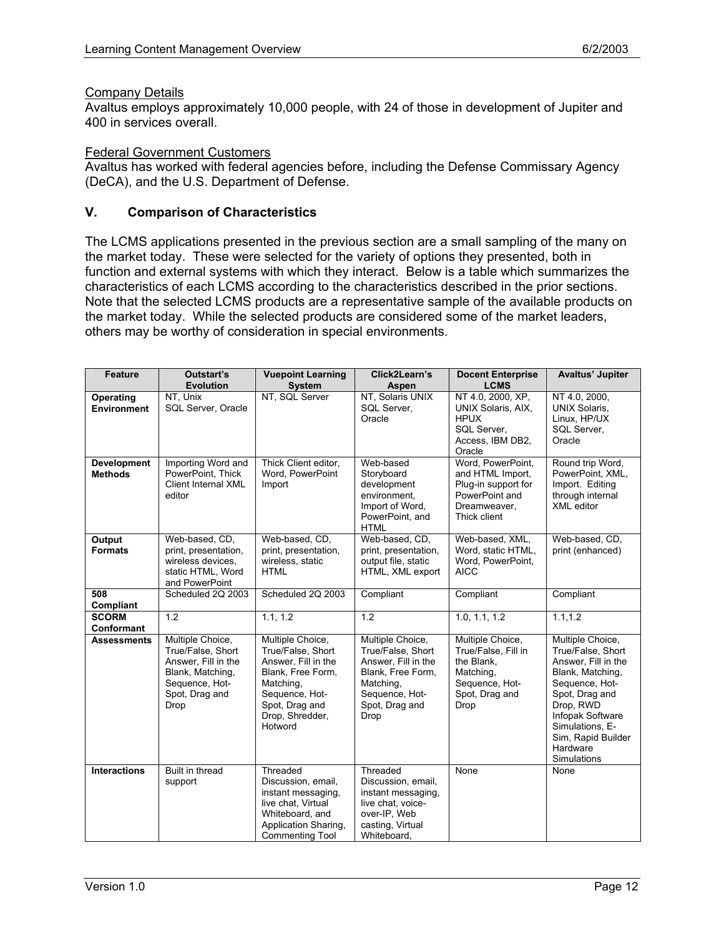# **Company Details**

Avaltus employs approximately 10,000 people, with 24 of those in development of Jupiter and 400 in services overall.

#### Federal Government Customers

Avaltus has worked with federal agencies before, including the Defense Commissary Agency (DeCA), and the U.S. Department of Defense.

## **V. Comparison of Characteristics**

The LCMS applications presented in the previous section are a small sampling of the many on the market today. These were selected for the variety of options they presented, both in function and external systems with which they interact. Below is a table which summarizes the characteristics of each LCMS according to the characteristics described in the prior sections. Note that the selected LCMS products are a representative sample of the available products on the market today. While the selected products are considered some of the market leaders, others may be worthy of consideration in special environments.

| <b>Feature</b>                       | Outstart's<br><b>Evolution</b>                                                                                               | <b>Vuepoint Learning</b><br><b>System</b>                                                                                                                        | Click2Learn's<br>Aspen                                                                                                                     | <b>Docent Enterprise</b><br><b>LCMS</b>                                                                        | Avaltus' Jupiter                                                                                                                                                                                                          |
|--------------------------------------|------------------------------------------------------------------------------------------------------------------------------|------------------------------------------------------------------------------------------------------------------------------------------------------------------|--------------------------------------------------------------------------------------------------------------------------------------------|----------------------------------------------------------------------------------------------------------------|---------------------------------------------------------------------------------------------------------------------------------------------------------------------------------------------------------------------------|
| Operating<br><b>Environment</b>      | NT, Unix<br>SQL Server, Oracle                                                                                               | NT, SQL Server                                                                                                                                                   | NT, Solaris UNIX<br>SQL Server.<br>Oracle                                                                                                  | NT 4.0, 2000, XP,<br>UNIX Solaris, AIX,<br><b>HPUX</b><br>SQL Server,<br>Access, IBM DB2,<br>Oracle            | NT 4.0, 2000,<br><b>UNIX Solaris,</b><br>Linux, HP/UX<br>SQL Server,<br>Oracle                                                                                                                                            |
| <b>Development</b><br><b>Methods</b> | Importing Word and<br>PowerPoint, Thick<br>Client Internal XML<br>editor                                                     | Thick Client editor,<br>Word, PowerPoint<br>Import                                                                                                               | Web-based<br>Storyboard<br>development<br>environment,<br>Import of Word,<br>PowerPoint, and<br><b>HTML</b>                                | Word, PowerPoint,<br>and HTML Import.<br>Plug-in support for<br>PowerPoint and<br>Dreamweaver,<br>Thick client | Round trip Word,<br>PowerPoint, XML,<br>Import. Editing<br>through internal<br><b>XML</b> editor                                                                                                                          |
| Output<br><b>Formats</b>             | Web-based, CD,<br>print, presentation,<br>wireless devices,<br>static HTML, Word<br>and PowerPoint                           | Web-based, CD,<br>print, presentation,<br>wireless, static<br><b>HTML</b>                                                                                        | Web-based, CD,<br>print, presentation,<br>output file, static<br>HTML, XML export                                                          | Web-based, XML,<br>Word, static HTML,<br>Word, PowerPoint,<br><b>AICC</b>                                      | Web-based, CD,<br>print (enhanced)                                                                                                                                                                                        |
| 508<br>Compliant                     | Scheduled 2Q 2003                                                                                                            | Scheduled 2Q 2003                                                                                                                                                | Compliant                                                                                                                                  | Compliant                                                                                                      | Compliant                                                                                                                                                                                                                 |
| <b>SCORM</b><br>Conformant           | 1.2                                                                                                                          | 1.1, 1.2                                                                                                                                                         | 1.2                                                                                                                                        | 1.0, 1.1, 1.2                                                                                                  | 1.1, 1.2                                                                                                                                                                                                                  |
| <b>Assessments</b>                   | Multiple Choice,<br>True/False, Short<br>Answer, Fill in the<br>Blank, Matching,<br>Sequence, Hot-<br>Spot, Drag and<br>Drop | Multiple Choice,<br>True/False, Short<br>Answer, Fill in the<br>Blank, Free Form,<br>Matching,<br>Sequence, Hot-<br>Spot, Drag and<br>Drop, Shredder,<br>Hotword | Multiple Choice,<br>True/False, Short<br>Answer, Fill in the<br>Blank, Free Form,<br>Matching,<br>Sequence, Hot-<br>Spot, Drag and<br>Drop | Multiple Choice,<br>True/False, Fill in<br>the Blank,<br>Matching,<br>Sequence, Hot-<br>Spot, Drag and<br>Drop | Multiple Choice,<br>True/False, Short<br>Answer, Fill in the<br>Blank, Matching,<br>Sequence, Hot-<br>Spot, Drag and<br>Drop, RWD<br>Infopak Software<br>Simulations, E-<br>Sim, Rapid Builder<br>Hardware<br>Simulations |
| <b>Interactions</b>                  | Built in thread<br>support                                                                                                   | Threaded<br>Discussion, email,<br>instant messaging,<br>live chat, Virtual<br>Whiteboard, and<br>Application Sharing,<br>Commenting Tool                         | Threaded<br>Discussion, email,<br>instant messaging,<br>live chat, voice-<br>over-IP, Web<br>casting, Virtual<br>Whiteboard,               | None                                                                                                           | None                                                                                                                                                                                                                      |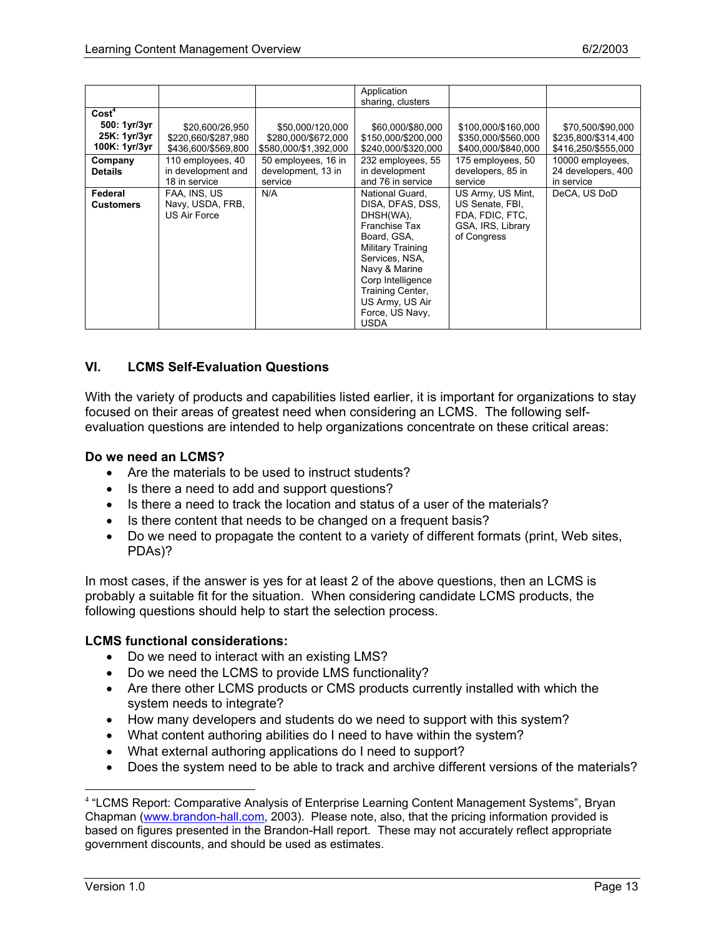|                   |                     |                       | Application         |                     |                     |
|-------------------|---------------------|-----------------------|---------------------|---------------------|---------------------|
|                   |                     |                       | sharing, clusters   |                     |                     |
|                   |                     |                       |                     |                     |                     |
| Cost <sup>4</sup> |                     |                       |                     |                     |                     |
| 500: 1yr/3yr      | \$20,600/26,950     | \$50,000/120,000      | \$60,000/\$80,000   | \$100,000/\$160,000 | \$70,500/\$90,000   |
| 25K: 1yr/3yr      | \$220,660/\$287,980 | \$280,000/\$672,000   | \$150,000/\$200,000 | \$350,000/\$560,000 | \$235,800/\$314,400 |
| 100K: 1yr/3yr     | \$436,600/\$569,800 | \$580,000/\$1,392,000 | \$240,000/\$320,000 | \$400,000/\$840,000 | \$416,250/\$555,000 |
| Company           | 110 employees, 40   | 50 employees, 16 in   | 232 employees, 55   | 175 employees, 50   | 10000 employees,    |
| <b>Details</b>    | in development and  | development, 13 in    | in development      | developers, 85 in   | 24 developers, 400  |
|                   | 18 in service       | service               | and 76 in service   | service             | in service          |
| Federal           | FAA, INS, US        | N/A                   | National Guard,     | US Army, US Mint,   | DeCA, US DoD        |
| <b>Customers</b>  | Navy, USDA, FRB,    |                       | DISA, DFAS, DSS,    | US Senate, FBI,     |                     |
|                   | US Air Force        |                       | DHSH(WA),           | FDA, FDIC, FTC,     |                     |
|                   |                     |                       | Franchise Tax       | GSA, IRS, Library   |                     |
|                   |                     |                       | Board, GSA,         | of Congress         |                     |
|                   |                     |                       | Military Training   |                     |                     |
|                   |                     |                       | Services, NSA,      |                     |                     |
|                   |                     |                       | Navy & Marine       |                     |                     |
|                   |                     |                       |                     |                     |                     |
|                   |                     |                       | Corp Intelligence   |                     |                     |
|                   |                     |                       | Training Center,    |                     |                     |
|                   |                     |                       | US Army, US Air     |                     |                     |
|                   |                     |                       | Force, US Navy,     |                     |                     |
|                   |                     |                       | <b>USDA</b>         |                     |                     |

# **VI. LCMS Self-Evaluation Questions**

With the variety of products and capabilities listed earlier, it is important for organizations to stay focused on their areas of greatest need when considering an LCMS. The following selfevaluation questions are intended to help organizations concentrate on these critical areas:

#### **Do we need an LCMS?**

- Are the materials to be used to instruct students?
- Is there a need to add and support questions?
- Is there a need to track the location and status of a user of the materials?
- Is there content that needs to be changed on a frequent basis?
- Do we need to propagate the content to a variety of different formats (print, Web sites, PDAs)?

In most cases, if the answer is yes for at least 2 of the above questions, then an LCMS is probably a suitable fit for the situation. When considering candidate LCMS products, the following questions should help to start the selection process.

#### **LCMS functional considerations:**

- Do we need to interact with an existing LMS?
- Do we need the LCMS to provide LMS functionality?
- Are there other LCMS products or CMS products currently installed with which the system needs to integrate?
- How many developers and students do we need to support with this system?
- What content authoring abilities do I need to have within the system?
- What external authoring applications do I need to support?
- Does the system need to be able to track and archive different versions of the materials?

 $\overline{a}$ 

<sup>&</sup>lt;sup>4</sup> "LCMS Report: Comparative Analysis of Enterprise Learning Content Management Systems", Bryan Chapman (www.brandon-hall.com, 2003). Please note, also, that the pricing information provided is based on figures presented in the Brandon-Hall report. These may not accurately reflect appropriate government discounts, and should be used as estimates.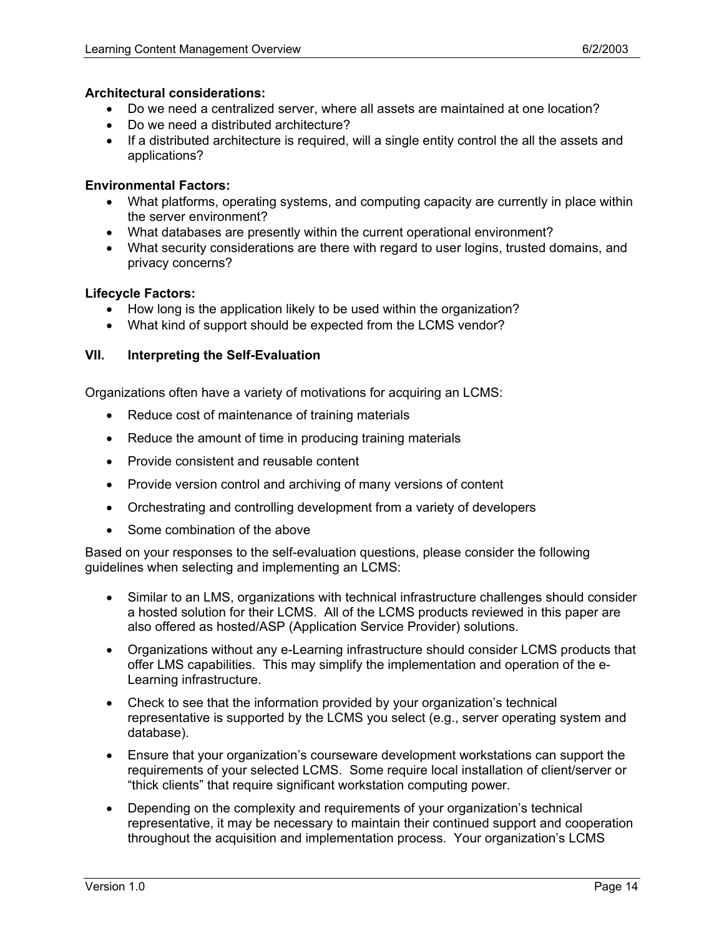## **Architectural considerations:**

- Do we need a centralized server, where all assets are maintained at one location?
- Do we need a distributed architecture?
- If a distributed architecture is required, will a single entity control the all the assets and applications?

## **Environmental Factors:**

- What platforms, operating systems, and computing capacity are currently in place within the server environment?
- What databases are presently within the current operational environment?
- What security considerations are there with regard to user logins, trusted domains, and privacy concerns?

## **Lifecycle Factors:**

- How long is the application likely to be used within the organization?
- What kind of support should be expected from the LCMS vendor?

## **VII. Interpreting the Self-Evaluation**

Organizations often have a variety of motivations for acquiring an LCMS:

- Reduce cost of maintenance of training materials
- Reduce the amount of time in producing training materials
- Provide consistent and reusable content
- Provide version control and archiving of many versions of content
- Orchestrating and controlling development from a variety of developers
- Some combination of the above

Based on your responses to the self-evaluation questions, please consider the following guidelines when selecting and implementing an LCMS:

- Similar to an LMS, organizations with technical infrastructure challenges should consider a hosted solution for their LCMS. All of the LCMS products reviewed in this paper are also offered as hosted/ASP (Application Service Provider) solutions.
- Organizations without any e-Learning infrastructure should consider LCMS products that offer LMS capabilities. This may simplify the implementation and operation of the e-Learning infrastructure.
- Check to see that the information provided by your organization's technical representative is supported by the LCMS you select (e.g., server operating system and database).
- Ensure that your organization's courseware development workstations can support the requirements of your selected LCMS. Some require local installation of client/server or "thick clients" that require significant workstation computing power.
- Depending on the complexity and requirements of your organization's technical representative, it may be necessary to maintain their continued support and cooperation throughout the acquisition and implementation process. Your organization's LCMS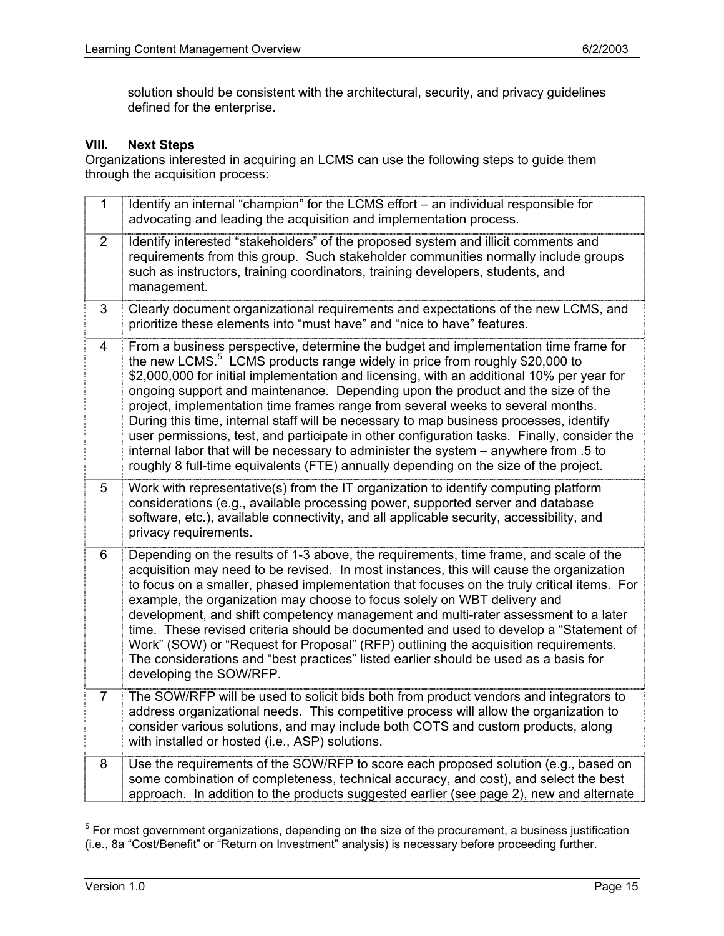solution should be consistent with the architectural, security, and privacy guidelines defined for the enterprise.

## **VIII. Next Steps**

Organizations interested in acquiring an LCMS can use the following steps to guide them through the acquisition process:

| $\mathbf{1}$   | Identify an internal "champion" for the LCMS effort - an individual responsible for<br>advocating and leading the acquisition and implementation process.                                                                                                                                                                                                                                                                                                                                                                                                                                                                                                                                                                                                                                                                  |
|----------------|----------------------------------------------------------------------------------------------------------------------------------------------------------------------------------------------------------------------------------------------------------------------------------------------------------------------------------------------------------------------------------------------------------------------------------------------------------------------------------------------------------------------------------------------------------------------------------------------------------------------------------------------------------------------------------------------------------------------------------------------------------------------------------------------------------------------------|
| $\overline{2}$ | Identify interested "stakeholders" of the proposed system and illicit comments and<br>requirements from this group. Such stakeholder communities normally include groups<br>such as instructors, training coordinators, training developers, students, and<br>management.                                                                                                                                                                                                                                                                                                                                                                                                                                                                                                                                                  |
| 3              | Clearly document organizational requirements and expectations of the new LCMS, and<br>prioritize these elements into "must have" and "nice to have" features.                                                                                                                                                                                                                                                                                                                                                                                                                                                                                                                                                                                                                                                              |
| 4              | From a business perspective, determine the budget and implementation time frame for<br>the new LCMS. <sup>5</sup> LCMS products range widely in price from roughly \$20,000 to<br>\$2,000,000 for initial implementation and licensing, with an additional 10% per year for<br>ongoing support and maintenance. Depending upon the product and the size of the<br>project, implementation time frames range from several weeks to several months.<br>During this time, internal staff will be necessary to map business processes, identify<br>user permissions, test, and participate in other configuration tasks. Finally, consider the<br>internal labor that will be necessary to administer the system - anywhere from .5 to<br>roughly 8 full-time equivalents (FTE) annually depending on the size of the project. |
| 5              | Work with representative(s) from the IT organization to identify computing platform<br>considerations (e.g., available processing power, supported server and database<br>software, etc.), available connectivity, and all applicable security, accessibility, and<br>privacy requirements.                                                                                                                                                                                                                                                                                                                                                                                                                                                                                                                                |
| 6              | Depending on the results of 1-3 above, the requirements, time frame, and scale of the<br>acquisition may need to be revised. In most instances, this will cause the organization<br>to focus on a smaller, phased implementation that focuses on the truly critical items. For<br>example, the organization may choose to focus solely on WBT delivery and<br>development, and shift competency management and multi-rater assessment to a later<br>time. These revised criteria should be documented and used to develop a "Statement of<br>Work" (SOW) or "Request for Proposal" (RFP) outlining the acquisition requirements.<br>The considerations and "best practices" listed earlier should be used as a basis for<br>developing the SOW/RFP.                                                                        |
| $\overline{7}$ | The SOW/RFP will be used to solicit bids both from product vendors and integrators to<br>address organizational needs. This competitive process will allow the organization to<br>consider various solutions, and may include both COTS and custom products, along<br>with installed or hosted (i.e., ASP) solutions.                                                                                                                                                                                                                                                                                                                                                                                                                                                                                                      |
| 8              | Use the requirements of the SOW/RFP to score each proposed solution (e.g., based on<br>some combination of completeness, technical accuracy, and cost), and select the best<br>approach. In addition to the products suggested earlier (see page 2), new and alternate                                                                                                                                                                                                                                                                                                                                                                                                                                                                                                                                                     |

 5 For most government organizations, depending on the size of the procurement, a business justification (i.e., 8a "Cost/Benefit" or "Return on Investment" analysis) is necessary before proceeding further.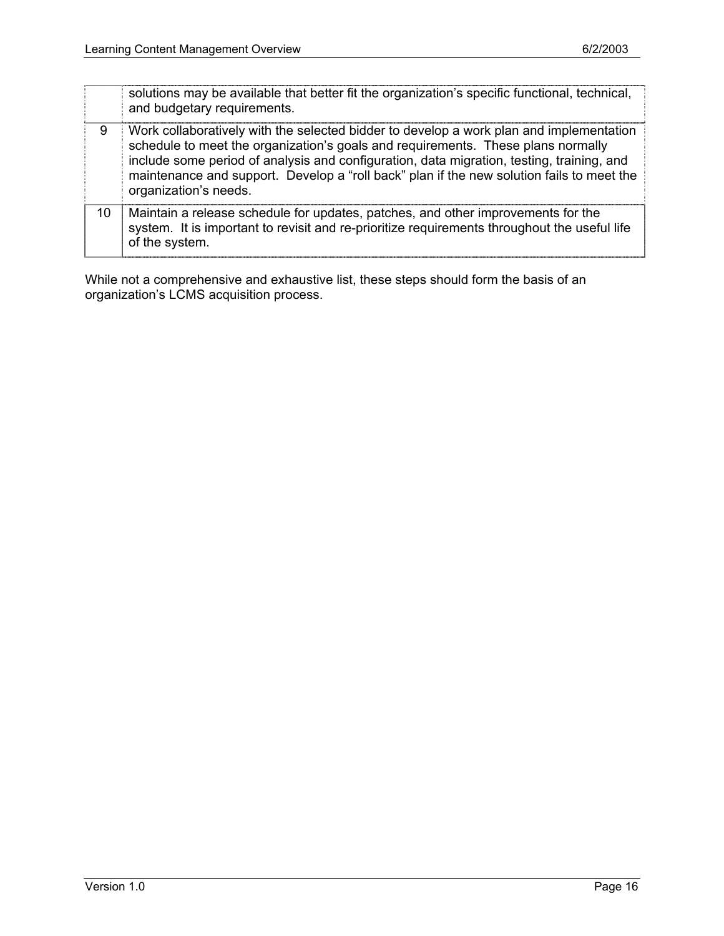|    | solutions may be available that better fit the organization's specific functional, technical,<br>and budgetary requirements.                                                                                                                                                                                                                                                                   |
|----|------------------------------------------------------------------------------------------------------------------------------------------------------------------------------------------------------------------------------------------------------------------------------------------------------------------------------------------------------------------------------------------------|
| 9  | Work collaboratively with the selected bidder to develop a work plan and implementation<br>schedule to meet the organization's goals and requirements. These plans normally<br>include some period of analysis and configuration, data migration, testing, training, and<br>maintenance and support. Develop a "roll back" plan if the new solution fails to meet the<br>organization's needs. |
| 10 | Maintain a release schedule for updates, patches, and other improvements for the<br>system. It is important to revisit and re-prioritize requirements throughout the useful life<br>of the system.                                                                                                                                                                                             |

While not a comprehensive and exhaustive list, these steps should form the basis of an organization's LCMS acquisition process.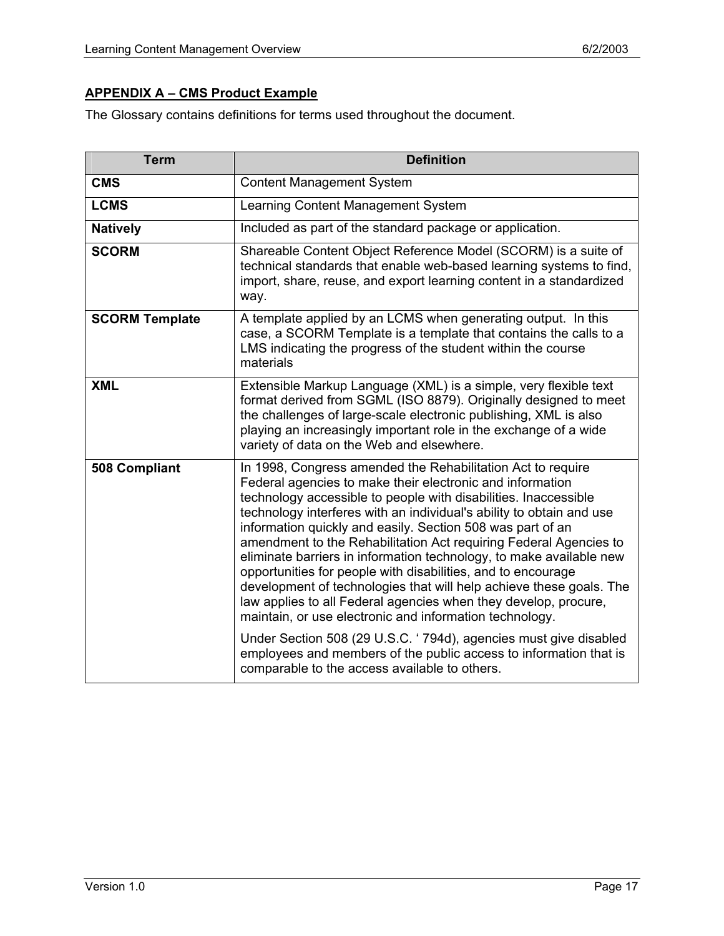# **APPENDIX A – CMS Product Example**

The Glossary contains definitions for terms used throughout the document.

| <b>Term</b>           | <b>Definition</b>                                                                                                                                                                                                                                                                                                                                                                                                                                                                                                                                                                                                                                                                                                                                                                                                      |
|-----------------------|------------------------------------------------------------------------------------------------------------------------------------------------------------------------------------------------------------------------------------------------------------------------------------------------------------------------------------------------------------------------------------------------------------------------------------------------------------------------------------------------------------------------------------------------------------------------------------------------------------------------------------------------------------------------------------------------------------------------------------------------------------------------------------------------------------------------|
| <b>CMS</b>            | <b>Content Management System</b>                                                                                                                                                                                                                                                                                                                                                                                                                                                                                                                                                                                                                                                                                                                                                                                       |
| <b>LCMS</b>           | Learning Content Management System                                                                                                                                                                                                                                                                                                                                                                                                                                                                                                                                                                                                                                                                                                                                                                                     |
| <b>Natively</b>       | Included as part of the standard package or application.                                                                                                                                                                                                                                                                                                                                                                                                                                                                                                                                                                                                                                                                                                                                                               |
| <b>SCORM</b>          | Shareable Content Object Reference Model (SCORM) is a suite of<br>technical standards that enable web-based learning systems to find,<br>import, share, reuse, and export learning content in a standardized<br>way.                                                                                                                                                                                                                                                                                                                                                                                                                                                                                                                                                                                                   |
| <b>SCORM Template</b> | A template applied by an LCMS when generating output. In this<br>case, a SCORM Template is a template that contains the calls to a<br>LMS indicating the progress of the student within the course<br>materials                                                                                                                                                                                                                                                                                                                                                                                                                                                                                                                                                                                                        |
| <b>XML</b>            | Extensible Markup Language (XML) is a simple, very flexible text<br>format derived from SGML (ISO 8879). Originally designed to meet<br>the challenges of large-scale electronic publishing, XML is also<br>playing an increasingly important role in the exchange of a wide<br>variety of data on the Web and elsewhere.                                                                                                                                                                                                                                                                                                                                                                                                                                                                                              |
| 508 Compliant         | In 1998, Congress amended the Rehabilitation Act to require<br>Federal agencies to make their electronic and information<br>technology accessible to people with disabilities. Inaccessible<br>technology interferes with an individual's ability to obtain and use<br>information quickly and easily. Section 508 was part of an<br>amendment to the Rehabilitation Act requiring Federal Agencies to<br>eliminate barriers in information technology, to make available new<br>opportunities for people with disabilities, and to encourage<br>development of technologies that will help achieve these goals. The<br>law applies to all Federal agencies when they develop, procure,<br>maintain, or use electronic and information technology.<br>Under Section 508 (29 U.S.C. '794d), agencies must give disabled |
|                       | employees and members of the public access to information that is<br>comparable to the access available to others.                                                                                                                                                                                                                                                                                                                                                                                                                                                                                                                                                                                                                                                                                                     |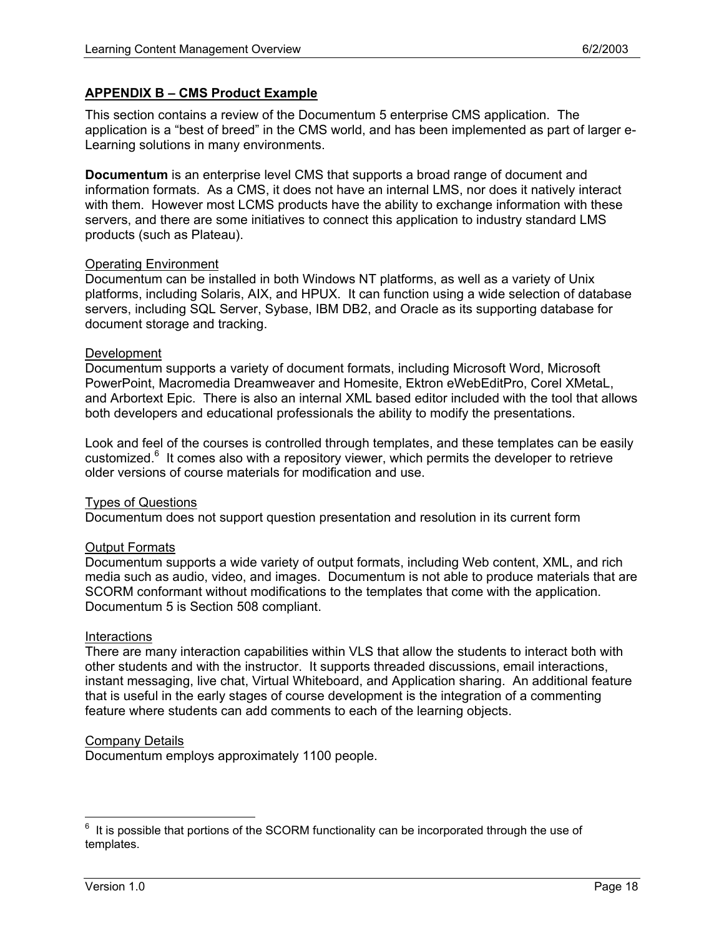# **APPENDIX B – CMS Product Example**

This section contains a review of the Documentum 5 enterprise CMS application. The application is a "best of breed" in the CMS world, and has been implemented as part of larger e-Learning solutions in many environments.

**Documentum** is an enterprise level CMS that supports a broad range of document and information formats. As a CMS, it does not have an internal LMS, nor does it natively interact with them. However most LCMS products have the ability to exchange information with these servers, and there are some initiatives to connect this application to industry standard LMS products (such as Plateau).

#### Operating Environment

Documentum can be installed in both Windows NT platforms, as well as a variety of Unix platforms, including Solaris, AIX, and HPUX. It can function using a wide selection of database servers, including SQL Server, Sybase, IBM DB2, and Oracle as its supporting database for document storage and tracking.

#### Development

Documentum supports a variety of document formats, including Microsoft Word, Microsoft PowerPoint, Macromedia Dreamweaver and Homesite, Ektron eWebEditPro, Corel XMetaL, and Arbortext Epic. There is also an internal XML based editor included with the tool that allows both developers and educational professionals the ability to modify the presentations.

Look and feel of the courses is controlled through templates, and these templates can be easily customized.<sup>6</sup> It comes also with a repository viewer, which permits the developer to retrieve older versions of course materials for modification and use.

## Types of Questions

Documentum does not support question presentation and resolution in its current form

## Output Formats

Documentum supports a wide variety of output formats, including Web content, XML, and rich media such as audio, video, and images. Documentum is not able to produce materials that are SCORM conformant without modifications to the templates that come with the application. Documentum 5 is Section 508 compliant.

#### **Interactions**

There are many interaction capabilities within VLS that allow the students to interact both with other students and with the instructor. It supports threaded discussions, email interactions, instant messaging, live chat, Virtual Whiteboard, and Application sharing. An additional feature that is useful in the early stages of course development is the integration of a commenting feature where students can add comments to each of the learning objects.

#### Company Details

Documentum employs approximately 1100 people.

<sup>—&</sup>lt;br>6 It is possible that portions of the SCORM functionality can be incorporated through the use of templates.